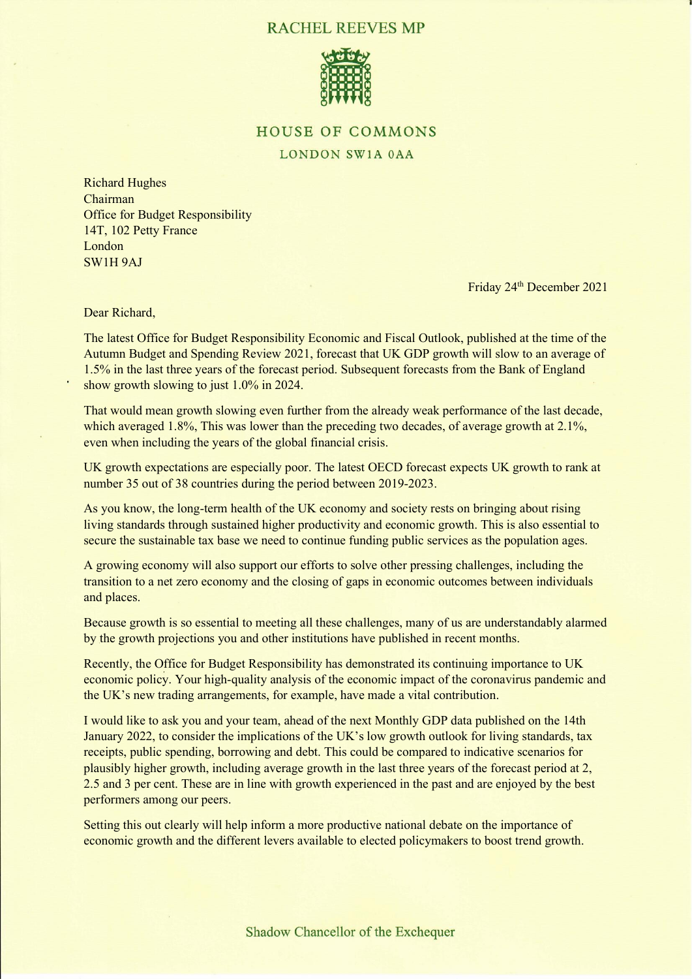## **RACHEL REEVES MP**



## **HOUSE OF COMMONS**

## LONDON SW1A 0AA

Richard Hughes Chairman Office for Budget Responsibility 14T, 102 Petty France London SW1H 9AJ

Friday 24<sup>th</sup> December 2021

Dear Richard,

The latest Office for Budget Responsibility Economic and Fiscal Outlook, published at the time of the Autumn Budget and Spending Review 2021, forecast that UK GDP growth will slow to an average of 1.5% in the last three years of the forecast period. Subsequent forecasts from the Bank of England show growth slowing to just 1.0% in 2024.

That would mean growth slowing even further from the already weak performance of the last decade, which averaged 1.8%. This was lower than the preceding two decades, of average growth at 2.1%, even when including the years of the global financial crisis.

UK growth expectations are especially poor. The latest OECD forecast expects UK growth to rank at number 35 out of 38 countries during the period between 2019-2023.

As you know, the long-term health of the UK economy and society rests on bringing about rising living standards through sustained higher productivity and economic growth. This is also essential to secure the sustainable tax base we need to continue funding public services as the population ages.

A growing economy will also support our efforts to solve other pressing challenges, including the transition to a net zero economy and the closing of gaps in economic outcomes between individuals and places.

Because growth is so essential to meeting all these challenges, many of us are understandably alarmed by the growth projections you and other institutions have published in recent months.

Recently, the Office for Budget Responsibility has demonstrated its continuing importance to UK economic policy. Your high-quality analysis of the economic impact of the coronavirus pandemic and the UK's new trading arrangements, for example, have made a vital contribution.

I would like to ask you and your team, ahead of the next Monthly GDP data published on the 14th January 2022, to consider the implications of the UK's low growth outlook for living standards, tax receipts, public spending, borrowing and debt. This could be compared to indicative scenarios for plausibly higher growth, including average growth in the last three years of the forecast period at 2, 2.5 and 3 per cent. These are in line with growth experienced in the past and are enjoyed by the best performers among our peers.

Setting this out clearly will help inform a more productive national debate on the importance of economic growth and the different levers available to elected policymakers to boost trend growth.